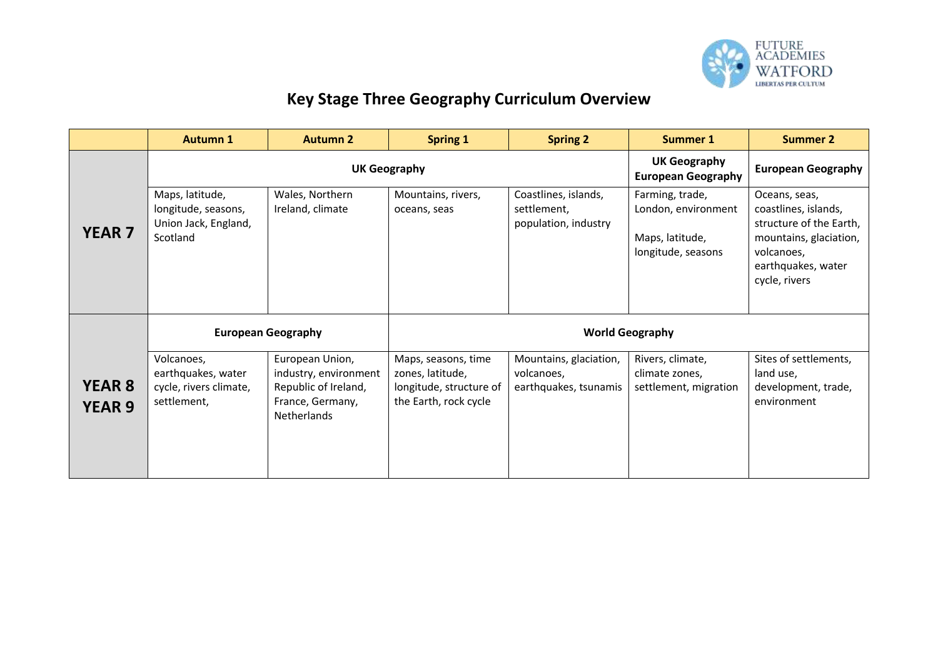

## **Key Stage Three Geography Curriculum Overview**

|                                | <b>Autumn 1</b>                                                            | <b>Autumn 2</b>                                                                                            | <b>Spring 1</b>                                                                             | <b>Spring 2</b>                                               | <b>Summer 1</b>                                                                 | <b>Summer 2</b>                                                                                                                                 |
|--------------------------------|----------------------------------------------------------------------------|------------------------------------------------------------------------------------------------------------|---------------------------------------------------------------------------------------------|---------------------------------------------------------------|---------------------------------------------------------------------------------|-------------------------------------------------------------------------------------------------------------------------------------------------|
|                                |                                                                            | <b>UK Geography</b>                                                                                        | <b>UK Geography</b><br><b>European Geography</b>                                            | <b>European Geography</b>                                     |                                                                                 |                                                                                                                                                 |
| <b>YEAR 7</b>                  | Maps, latitude,<br>longitude, seasons,<br>Union Jack, England,<br>Scotland | Wales, Northern<br>Ireland, climate                                                                        | Mountains, rivers,<br>oceans, seas                                                          | Coastlines, islands,<br>settlement,<br>population, industry   | Farming, trade,<br>London, environment<br>Maps, latitude,<br>longitude, seasons | Oceans, seas,<br>coastlines, islands,<br>structure of the Earth,<br>mountains, glaciation,<br>volcanoes,<br>earthquakes, water<br>cycle, rivers |
|                                | <b>European Geography</b>                                                  |                                                                                                            | <b>World Geography</b>                                                                      |                                                               |                                                                                 |                                                                                                                                                 |
| <b>YEAR 8</b><br><b>YEAR 9</b> | Volcanoes,<br>earthquakes, water<br>cycle, rivers climate,<br>settlement,  | European Union,<br>industry, environment<br>Republic of Ireland,<br>France, Germany,<br><b>Netherlands</b> | Maps, seasons, time<br>zones, latitude,<br>longitude, structure of<br>the Earth, rock cycle | Mountains, glaciation,<br>volcanoes,<br>earthquakes, tsunamis | Rivers, climate,<br>climate zones,<br>settlement, migration                     | Sites of settlements,<br>land use,<br>development, trade,<br>environment                                                                        |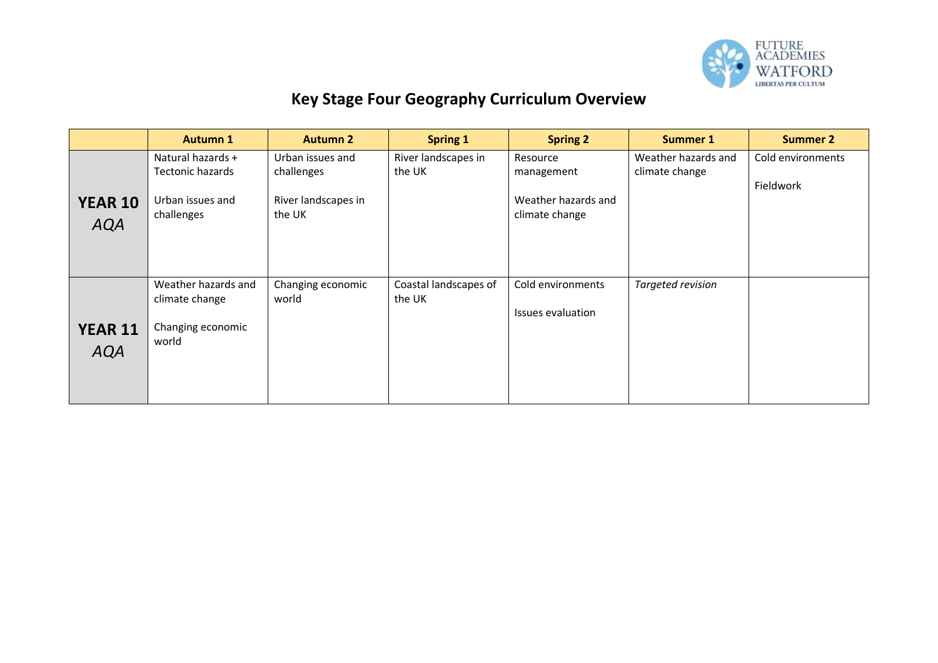

## **Key Stage Four Geography Curriculum Overview**

|                              | <b>Autumn 1</b>                                                                | <b>Autumn 2</b>                                                 | <b>Spring 1</b>                 | <b>Spring 2</b>                                                 | <b>Summer 1</b>                       | <b>Summer 2</b>                |
|------------------------------|--------------------------------------------------------------------------------|-----------------------------------------------------------------|---------------------------------|-----------------------------------------------------------------|---------------------------------------|--------------------------------|
| <b>YEAR 10</b><br><b>AQA</b> | Natural hazards +<br><b>Tectonic hazards</b><br>Urban issues and<br>challenges | Urban issues and<br>challenges<br>River landscapes in<br>the UK | River landscapes in<br>the UK   | Resource<br>management<br>Weather hazards and<br>climate change | Weather hazards and<br>climate change | Cold environments<br>Fieldwork |
| <b>YEAR 11</b><br><b>AQA</b> | Weather hazards and<br>climate change<br>Changing economic<br>world            | Changing economic<br>world                                      | Coastal landscapes of<br>the UK | Cold environments<br>Issues evaluation                          | Targeted revision                     |                                |